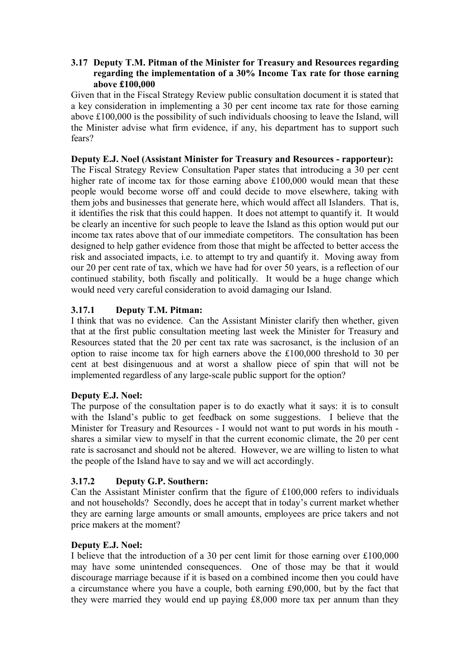### **3.17 Deputy T.M. Pitman of the Minister for Treasury and Resources regarding regarding the implementation of a 30% Income Tax rate for those earning above £100,000**

Given that in the Fiscal Strategy Review public consultation document it is stated that a key consideration in implementing a 30 per cent income tax rate for those earning above £100,000 is the possibility of such individuals choosing to leave the Island, will the Minister advise what firm evidence, if any, his department has to support such fears?

#### **Deputy E.J. Noel (Assistant Minister for Treasury and Resources - rapporteur):**

The Fiscal Strategy Review Consultation Paper states that introducing a 30 per cent higher rate of income tax for those earning above £100,000 would mean that these people would become worse off and could decide to move elsewhere, taking with them jobs and businesses that generate here, which would affect all Islanders. That is, it identifies the risk that this could happen. It does not attempt to quantify it. It would be clearly an incentive for such people to leave the Island as this option would put our income tax rates above that of our immediate competitors. The consultation has been designed to help gather evidence from those that might be affected to better access the risk and associated impacts, i.e. to attempt to try and quantify it. Moving away from our 20 per cent rate of tax, which we have had for over 50 years, is a reflection of our continued stability, both fiscally and politically. It would be a huge change which would need very careful consideration to avoid damaging our Island.

## **3.17.1 Deputy T.M. Pitman:**

I think that was no evidence. Can the Assistant Minister clarify then whether, given that at the first public consultation meeting last week the Minister for Treasury and Resources stated that the 20 per cent tax rate was sacrosanct, is the inclusion of an option to raise income tax for high earners above the £100,000 threshold to 30 per cent at best disingenuous and at worst a shallow piece of spin that will not be implemented regardless of any large-scale public support for the option?

### **Deputy E.J. Noel:**

The purpose of the consultation paper is to do exactly what it says: it is to consult with the Island's public to get feedback on some suggestions. I believe that the Minister for Treasury and Resources - I would not want to put words in his mouth shares a similar view to myself in that the current economic climate, the 20 per cent rate is sacrosanct and should not be altered. However, we are willing to listen to what the people of the Island have to say and we will act accordingly.

# **3.17.2 Deputy G.P. Southern:**

Can the Assistant Minister confirm that the figure of £100,000 refers to individuals and not households? Secondly, does he accept that in today's current market whether they are earning large amounts or small amounts, employees are price takers and not price makers at the moment?

### **Deputy E.J. Noel:**

I believe that the introduction of a 30 per cent limit for those earning over £100,000 may have some unintended consequences. One of those may be that it would discourage marriage because if it is based on a combined income then you could have a circumstance where you have a couple, both earning £90,000, but by the fact that they were married they would end up paying £8,000 more tax per annum than they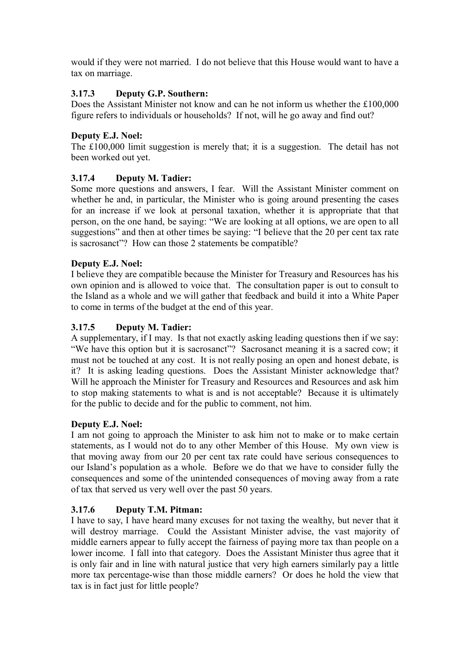would if they were not married. I do not believe that this House would want to have a tax on marriage.

## **3.17.3 Deputy G.P. Southern:**

Does the Assistant Minister not know and can he not inform us whether the £100,000 figure refers to individuals or households? If not, will he go away and find out?

### **Deputy E.J. Noel:**

The £100,000 limit suggestion is merely that; it is a suggestion. The detail has not been worked out yet.

## **3.17.4 Deputy M. Tadier:**

Some more questions and answers, I fear. Will the Assistant Minister comment on whether he and, in particular, the Minister who is going around presenting the cases for an increase if we look at personal taxation, whether it is appropriate that that person, on the one hand, be saying: "We are looking at all options, we are open to all suggestions" and then at other times be saying: "I believe that the 20 per cent tax rate is sacrosanct"? How can those 2 statements be compatible?

## **Deputy E.J. Noel:**

I believe they are compatible because the Minister for Treasury and Resources has his own opinion and is allowed to voice that. The consultation paper is out to consult to the Island as a whole and we will gather that feedback and build it into a White Paper to come in terms of the budget at the end of this year.

## **3.17.5 Deputy M. Tadier:**

A supplementary, if I may. Is that not exactly asking leading questions then if we say: "We have this option but it is sacrosanct"? Sacrosanct meaning it is a sacred cow; it must not be touched at any cost. It is not really posing an open and honest debate, is it? It is asking leading questions. Does the Assistant Minister acknowledge that? Will he approach the Minister for Treasury and Resources and Resources and ask him to stop making statements to what is and is not acceptable? Because it is ultimately for the public to decide and for the public to comment, not him.

### **Deputy E.J. Noel:**

I am not going to approach the Minister to ask him not to make or to make certain statements, as I would not do to any other Member of this House. My own view is that moving away from our 20 per cent tax rate could have serious consequences to our Island's population as a whole. Before we do that we have to consider fully the consequences and some of the unintended consequences of moving away from a rate of tax that served us very well over the past 50 years.

### **3.17.6 Deputy T.M. Pitman:**

I have to say, I have heard many excuses for not taxing the wealthy, but never that it will destroy marriage. Could the Assistant Minister advise, the vast majority of middle earners appear to fully accept the fairness of paying more tax than people on a lower income. I fall into that category. Does the Assistant Minister thus agree that it is only fair and in line with natural justice that very high earners similarly pay a little more tax percentage-wise than those middle earners? Or does he hold the view that tax is in fact just for little people?